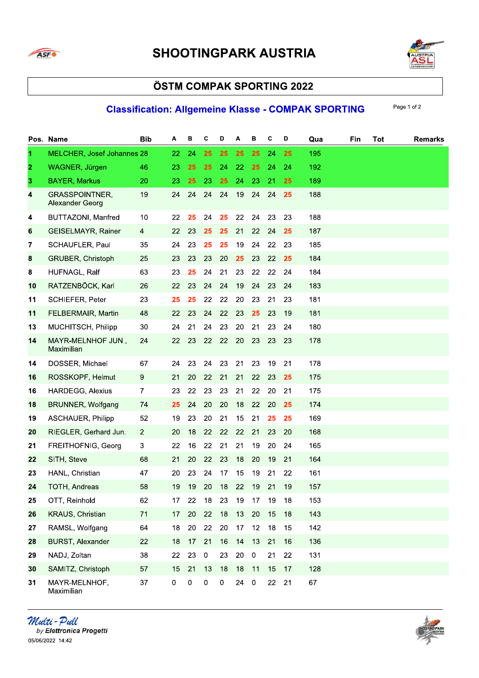



#### **Classification: Allgemeine Klasse - COMPAK SPORTING**

|                | Pos. Name                                       | <b>Bib</b>     | Α  | в         | С                | D         | А  | в              | C  | D  | Qua | Fin | Tot | <b>Remarks</b> |
|----------------|-------------------------------------------------|----------------|----|-----------|------------------|-----------|----|----------------|----|----|-----|-----|-----|----------------|
| 1              | <b>MELCHER, Josef Johannes 28</b>               |                | 22 | 24        | 25               | 25        | 25 | 25             | 24 | 25 | 195 |     |     |                |
| $\overline{2}$ | WAGNER, Jürgen                                  | 46             | 23 | 25        | 25               | 24        | 22 | 25             | 24 | 24 | 192 |     |     |                |
| $\mathbf{3}$   | <b>BAYER, Markus</b>                            | 20             | 23 | 25        | 23               | 25        | 24 | 23             | 21 | 25 | 189 |     |     |                |
| 4              | <b>GRASSPOINTNER,</b><br><b>Alexander Georg</b> | 19             | 24 | 24        | 24               | 24        | 19 | 24             | 24 | 25 | 188 |     |     |                |
| 4              | <b>BUTTAZONI, Manfred</b>                       | 10             | 22 | 25        | 24               | 25        | 22 | 24             | 23 | 23 | 188 |     |     |                |
| 6              | GEISELMAYR, Rainer                              | $\overline{4}$ | 22 | 23        | 25               | 25        | 21 | 22             | 24 | 25 | 187 |     |     |                |
| 7              | SCHAUFLER, Paul                                 | 35             | 24 | 23        | 25               | 25        | 19 | 24             | 22 | 23 | 185 |     |     |                |
| 8              | GRUBER, Christoph                               | 25             | 23 | 23        | 23               | 20        | 25 | 23             | 22 | 25 | 184 |     |     |                |
| 8              | HUFNAGL, Ralf                                   | 63             | 23 | 25        | 24               | 21        | 23 | 22             | 22 | 24 | 184 |     |     |                |
| 10             | RATZENBÖCK, Karl                                | 26             | 22 | 23        | 24               | 24        | 19 | 24             | 23 | 24 | 183 |     |     |                |
| 11             | SCHIEFER, Peter                                 | 23             | 25 | 25        | 22               | 22        | 20 | 23             | 21 | 23 | 181 |     |     |                |
| 11             | FELBERMAIR, Martin                              | 48             | 22 | 23        | 24               | 22        | 23 | 25             | 23 | 19 | 181 |     |     |                |
| 13             | MUCHITSCH, Philipp                              | 30             | 24 | 21        | 24               | 23        | 20 | 21             | 23 | 24 | 180 |     |     |                |
| 14             | MAYR-MELNHOF JUN.,<br>Maximilian                | 24             | 22 | 23        | 22               | 22        | 20 | 23             | 23 | 23 | 178 |     |     |                |
| 14             | DOSSER, Michael                                 | 67             | 24 | 23        | 24               | 23        | 21 | 23             | 19 | 21 | 178 |     |     |                |
| 16             | ROSSKOPF, Helmut                                | 9              | 21 | 20        | 22               | 21        | 21 | 22             | 23 | 25 | 175 |     |     |                |
| 16             | <b>HARDEGG, Alexius</b>                         | $\mathbf{7}$   | 23 | 22        | 23               | 23        | 21 | 22             | 20 | 21 | 175 |     |     |                |
| 18             | BRUNNER, Wolfgang                               | 74             | 25 | 24        | 20               | 20        | 18 | 22             | 20 | 25 | 174 |     |     |                |
| 19             | <b>ASCHAUER, Philipp</b>                        | 52             | 19 | 23        | 20               | 21        | 15 | 21             | 25 | 25 | 169 |     |     |                |
| 20             | RIEGLER, Gerhard Jun.                           | $\overline{2}$ | 20 | 18        | 22               | 22        | 22 | 21             | 23 | 20 | 168 |     |     |                |
| 21             | FREITHOFNIG, Georg                              | $\mathbf{3}$   | 22 | 16        | 22               | 21        | 21 | 19             | 20 | 24 | 165 |     |     |                |
| 22             | SITH, Steve                                     | 68             | 21 | 20        | 22               | 23        | 18 | 20             | 19 | 21 | 164 |     |     |                |
| 23             | HANL, Christian                                 | 47             | 20 | 23        | 24               | 17        | 15 | 19             | 21 | 22 | 161 |     |     |                |
| 24             | TOTH, Andreas                                   | 58             | 19 | 19        | 20               | 18        | 22 | 19             | 21 | 19 | 157 |     |     |                |
| 25             | OTT, Reinhold                                   | 62             | 17 | 22        | 18               | 23        | 19 | 17             | 19 | 18 | 153 |     |     |                |
| 26             | KRAUS, Christian                                | 71             | 17 | 20        | 22               | 18        | 13 | 20             | 15 | 18 | 143 |     |     |                |
| 27             | RAMSL, Wolfgang                                 | 64             | 18 | 20        | 22               | 20        | 17 | 12             | 18 | 15 | 142 |     |     |                |
| 28             | <b>BURST, Alexander</b>                         | 22             | 18 | 17        | 21               | 16        | 14 | 13             | 21 | 16 | 136 |     |     |                |
| 29             | NADJ, Zoltan                                    | 38             | 22 | 23        | $\boldsymbol{0}$ | 23        | 20 | $\pmb{0}$      | 21 | 22 | 131 |     |     |                |
| 30             | SAMITZ, Christoph                               | 57             | 15 | 21        | 13               | 18        | 18 | 11             | 15 | 17 | 128 |     |     |                |
| 31             | MAYR-MELNHOF,<br>Maximilian                     | 37             | 0  | $\pmb{0}$ | $\pmb{0}$        | $\pmb{0}$ | 24 | $\overline{0}$ | 22 | 21 | 67  |     |     |                |

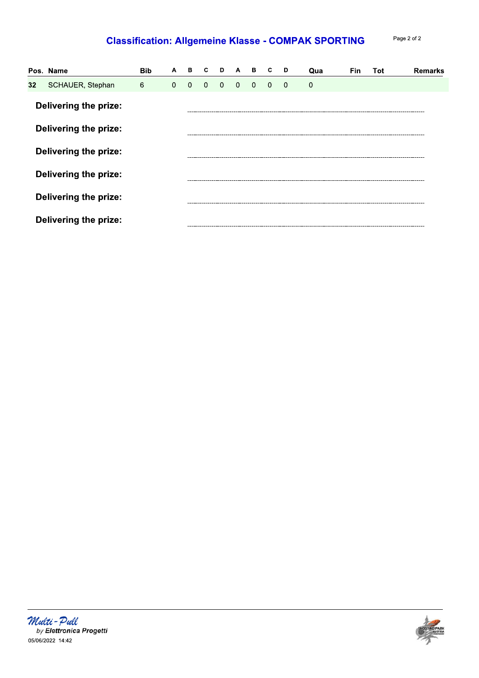### **Classification: Allgemeine Klasse - COMPAK SPORTING**

Page 2 of 2

|                 | Pos. Name                    | <b>Bib</b> | A        | в              | C.       | D            | $\mathbf{A}$            | в              | C              | D        | Qua          | <b>Fin</b> | Tot | Remarks |
|-----------------|------------------------------|------------|----------|----------------|----------|--------------|-------------------------|----------------|----------------|----------|--------------|------------|-----|---------|
| 32 <sub>2</sub> | SCHAUER, Stephan             | 6          | $\Omega$ | $\overline{0}$ | $\Omega$ | $\mathbf{0}$ | $\overline{\mathbf{0}}$ | $\overline{0}$ | $\overline{0}$ | $\Omega$ | $\mathbf{0}$ |            |     |         |
|                 | Delivering the prize:        |            |          |                |          |              |                         |                |                |          |              |            |     |         |
|                 | Delivering the prize:        |            |          |                |          |              |                         |                |                |          |              |            |     |         |
|                 | <b>Delivering the prize:</b> |            |          |                |          |              |                         |                |                |          |              |            |     |         |
|                 | <b>Delivering the prize:</b> |            |          |                |          |              |                         |                |                |          |              |            |     |         |
|                 | Delivering the prize:        |            |          |                |          |              |                         |                |                |          |              |            |     |         |
|                 | <b>Delivering the prize:</b> |            |          |                |          |              |                         |                |                |          |              |            |     |         |

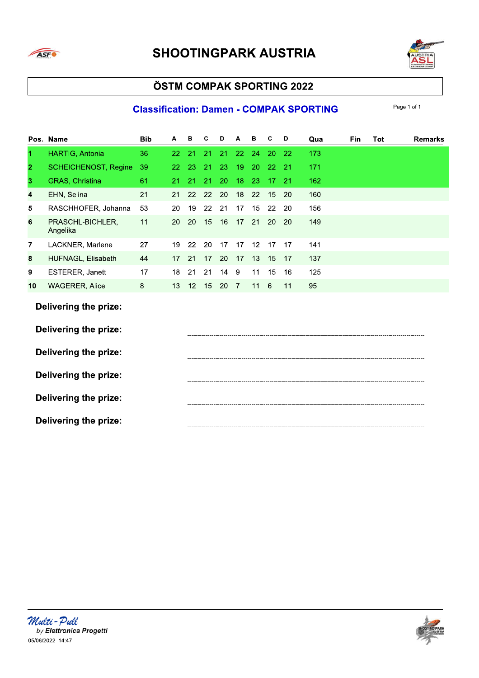



### **Classification: Damen - COMPAK SPORTING**

|                | Pos. Name                    | <b>Bib</b> | Α  | в  | C  | D  | Α  | в  | C  | D         | Qua | Fin | Tot | <b>Remarks</b> |
|----------------|------------------------------|------------|----|----|----|----|----|----|----|-----------|-----|-----|-----|----------------|
| 1              | HARTIG, Antonia              | 36         | 22 | 21 | 21 | 21 | 22 | 24 | 20 | -22       | 173 |     |     |                |
| $\overline{2}$ | <b>SCHEICHENOST, Regine</b>  | 39         | 22 | 23 | 21 | 23 | 19 | 20 | 22 | 21        | 171 |     |     |                |
| 3              | GRAS, Christina              | 61         | 21 | 21 | 21 | 20 | 18 | 23 | 17 | 21        | 162 |     |     |                |
| 4              | EHN, Selina                  | 21         | 21 | 22 | 22 | 20 | 18 | 22 | 15 | <b>20</b> | 160 |     |     |                |
| 5              | RASCHHOFER, Johanna          | 53         | 20 | 19 | 22 | 21 | 17 | 15 | 22 | 20        | 156 |     |     |                |
| 6              | PRASCHL-BICHLER,<br>Angelika | 11         | 20 | 20 | 15 | 16 | 17 | 21 | 20 | 20        | 149 |     |     |                |
| 7              | LACKNER, Marlene             | 27         | 19 | 22 | 20 | 17 | 17 | 12 | 17 | 17        | 141 |     |     |                |
| 8              | HUFNAGL, Elisabeth           | 44         | 17 | 21 | 17 | 20 | 17 | 13 | 15 | 17        | 137 |     |     |                |
| 9              | ESTERER, Janett              | 17         | 18 | 21 | 21 | 14 | 9  | 11 | 15 | 16        | 125 |     |     |                |
| 10             | <b>WAGERER, Alice</b>        | 8          | 13 | 12 | 15 | 20 | 7  | 11 | 6  | 11        | 95  |     |     |                |
|                | Delivering the prize:        |            |    |    |    |    |    |    |    |           |     |     |     |                |
|                | Delivering the prize:        |            |    |    |    |    |    |    |    |           |     |     |     |                |
|                | Delivering the prize:        |            |    |    |    |    |    |    |    |           |     |     |     |                |
|                | <b>Delivering the prize:</b> |            |    |    |    |    |    |    |    |           |     |     |     |                |
|                | <b>Delivering the prize:</b> |            |    |    |    |    |    |    |    |           |     |     |     |                |
|                | <b>Delivering the prize:</b> |            |    |    |    |    |    |    |    |           |     |     |     |                |



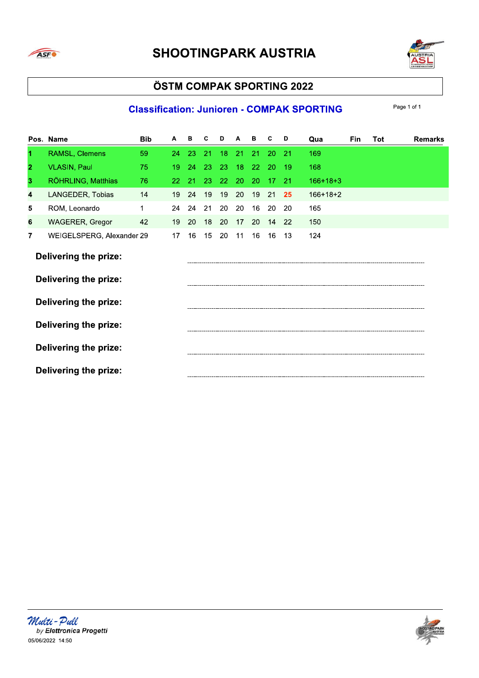



### **Classification: Junioren - COMPAK SPORTING**

|                | Pos. Name                    | <b>Bib</b> | А  | в  | С  | D               | A  | в               | C  | D  | Qua        | <b>Fin</b> | Tot | <b>Remarks</b> |
|----------------|------------------------------|------------|----|----|----|-----------------|----|-----------------|----|----|------------|------------|-----|----------------|
| 1              | RAMSL, Clemens               | 59         | 24 | 23 | 21 | 18 <sup>°</sup> | 21 | 21              | 20 | 21 | 169        |            |     |                |
| $\mathbf{2}$   | <b>VLASIN, Paul</b>          | 75         | 19 | 24 | 23 | 23              | 18 | 22 <sub>2</sub> | 20 | 19 | 168        |            |     |                |
| 3              | RÖHRLING, Matthias           | 76         | 22 | 21 | 23 | 22              | 20 | 20              | 17 | 21 | $166+18+3$ |            |     |                |
| 4              | LANGEDER, Tobias             | 14         | 19 | 24 | 19 | 19              | 20 | 19              | 21 | 25 | $166+18+2$ |            |     |                |
| 5              | ROM, Leonardo                | 1          | 24 | 24 | 21 | 20              | 20 | 16              | 20 | 20 | 165        |            |     |                |
| 6              | <b>WAGERER, Gregor</b>       | 42         | 19 | 20 | 18 | 20              | 17 | 20              | 14 | 22 | 150        |            |     |                |
| $\overline{7}$ | WEIGELSPERG, Alexander 29    |            | 17 | 16 | 15 | 20              | 11 | 16              | 16 | 13 | 124        |            |     |                |
|                | Delivering the prize:        |            |    |    |    |                 |    |                 |    |    |            |            |     |                |
|                | <b>Delivering the prize:</b> |            |    |    |    |                 |    |                 |    |    |            |            |     |                |
|                | Delivering the prize:        |            |    |    |    |                 |    |                 |    |    |            |            |     |                |
|                | Delivering the prize:        |            |    |    |    |                 |    |                 |    |    |            |            |     |                |
|                | Delivering the prize:        |            |    |    |    |                 |    |                 |    |    |            |            |     |                |
|                | Delivering the prize:        |            |    |    |    |                 |    |                 |    |    |            |            |     |                |



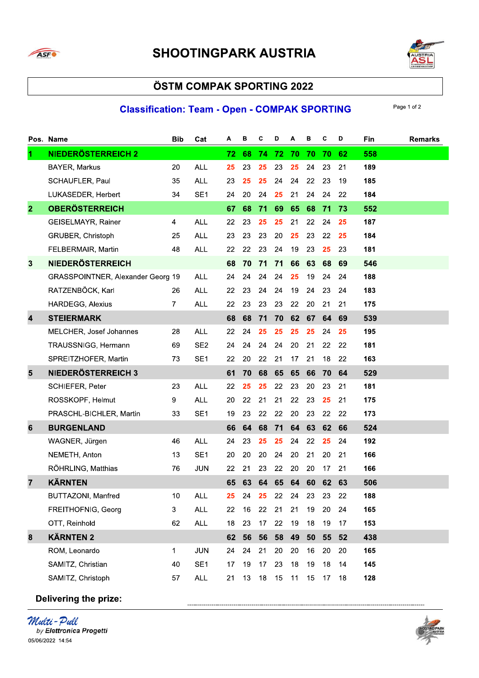



### **Classification: Team - Open - COMPAK SPORTING**

Page 1 of 2

|                         | Pos. Name                         | <b>Bib</b>     | Cat             | Α  | в  | С  | D  | А  | в  | c  | D  | <b>Fin</b> | <b>Remarks</b> |
|-------------------------|-----------------------------------|----------------|-----------------|----|----|----|----|----|----|----|----|------------|----------------|
| $\blacksquare$          | <b>NIEDERÖSTERREICH 2</b>         |                |                 | 72 | 68 | 74 | 72 | 70 | 70 | 70 | 62 | 558        |                |
|                         | BAYER, Markus                     | 20             | <b>ALL</b>      | 25 | 23 | 25 | 23 | 25 | 24 | 23 | 21 | 189        |                |
|                         | SCHAUFLER, Paul                   | 35             | <b>ALL</b>      | 23 | 25 | 25 | 24 | 24 | 22 | 23 | 19 | 185        |                |
|                         | LUKASEDER, Herbert                | 34             | SE <sub>1</sub> | 24 | 20 | 24 | 25 | 21 | 24 | 24 | 22 | 184        |                |
| $\overline{2}$          | <b>OBERÖSTERREICH</b>             |                |                 | 67 | 68 | 71 | 69 | 65 | 68 | 71 | 73 | 552        |                |
|                         | GEISELMAYR, Rainer                | $\overline{4}$ | <b>ALL</b>      | 22 | 23 | 25 | 25 | 21 | 22 | 24 | 25 | 187        |                |
|                         | GRUBER, Christoph                 | 25             | <b>ALL</b>      | 23 | 23 | 23 | 20 | 25 | 23 | 22 | 25 | 184        |                |
|                         | FELBERMAIR, Martin                | 48             | <b>ALL</b>      | 22 | 22 | 23 | 24 | 19 | 23 | 25 | 23 | 181        |                |
| 3                       | <b>NIEDERÖSTERREICH</b>           |                |                 | 68 | 70 | 71 | 71 | 66 | 63 | 68 | 69 | 546        |                |
|                         | GRASSPOINTNER, Alexander Georg 19 |                | <b>ALL</b>      | 24 | 24 | 24 | 24 | 25 | 19 | 24 | 24 | 188        |                |
|                         | RATZENBÖCK, Karl                  | 26             | <b>ALL</b>      | 22 | 23 | 24 | 24 | 19 | 24 | 23 | 24 | 183        |                |
|                         | <b>HARDEGG, Alexius</b>           | $\overline{7}$ | <b>ALL</b>      | 22 | 23 | 23 | 23 | 22 | 20 | 21 | 21 | 175        |                |
| 4                       | <b>STEIERMARK</b>                 |                |                 | 68 | 68 | 71 | 70 | 62 | 67 | 64 | 69 | 539        |                |
|                         | MELCHER, Josef Johannes           | 28             | <b>ALL</b>      | 22 | 24 | 25 | 25 | 25 | 25 | 24 | 25 | 195        |                |
|                         | TRAUSSNIGG, Hermann               | 69             | SE <sub>2</sub> | 24 | 24 | 24 | 24 | 20 | 21 | 22 | 22 | 181        |                |
|                         | SPREITZHOFER, Martin              | 73             | SE <sub>1</sub> | 22 | 20 | 22 | 21 | 17 | 21 | 18 | 22 | 163        |                |
| $\overline{\mathbf{5}}$ | NIEDERÖSTERREICH 3                |                |                 | 61 | 70 | 68 | 65 | 65 | 66 | 70 | 64 | 529        |                |
|                         | SCHIEFER, Peter                   | 23             | <b>ALL</b>      | 22 | 25 | 25 | 22 | 23 | 20 | 23 | 21 | 181        |                |
|                         | ROSSKOPF, Helmut                  | 9              | <b>ALL</b>      | 20 | 22 | 21 | 21 | 22 | 23 | 25 | 21 | 175        |                |
|                         | PRASCHL-BICHLER, Martin           | 33             | SE <sub>1</sub> | 19 | 23 | 22 | 22 | 20 | 23 | 22 | 22 | 173        |                |
| 6                       | <b>BURGENLAND</b>                 |                |                 | 66 | 64 | 68 | 71 | 64 | 63 | 62 | 66 | 524        |                |
|                         | WAGNER, Jürgen                    | 46             | <b>ALL</b>      | 24 | 23 | 25 | 25 | 24 | 22 | 25 | 24 | 192        |                |
|                         | NEMETH, Anton                     | 13             | SE <sub>1</sub> | 20 | 20 | 20 | 24 | 20 | 21 | 20 | 21 | 166        |                |
|                         | RÖHRLING, Matthias                | 76             | <b>JUN</b>      | 22 | 21 | 23 | 22 | 20 | 20 | 17 | 21 | 166        |                |
| $\overline{7}$          | <b>KÄRNTEN</b>                    |                |                 | 65 | 63 | 64 | 65 | 64 | 60 | 62 | 63 | 506        |                |
|                         | <b>BUTTAZONI, Manfred</b>         | 10             | <b>ALL</b>      | 25 | 24 | 25 | 22 | 24 | 23 | 23 | 22 | 188        |                |
|                         | FREITHOFNIG, Georg                | $\mathbf{3}$   | <b>ALL</b>      | 22 | 16 | 22 | 21 | 21 | 19 | 20 | 24 | 165        |                |
|                         | OTT, Reinhold                     | 62             | <b>ALL</b>      | 18 | 23 | 17 | 22 | 19 | 18 | 19 | 17 | 153        |                |
| 8                       | <b>KÄRNTEN 2</b>                  |                |                 | 62 | 56 | 56 | 58 | 49 | 50 | 55 | 52 | 438        |                |
|                         | ROM, Leonardo                     | $\mathbf{1}$   | <b>JUN</b>      | 24 | 24 | 21 | 20 | 20 | 16 | 20 | 20 | 165        |                |
|                         | SAMITZ, Christian                 | 40             | SE <sub>1</sub> | 17 | 19 | 17 | 23 | 18 | 19 | 18 | 14 | 145        |                |
|                         | SAMITZ, Christoph                 | 57             | <b>ALL</b>      | 21 | 13 | 18 | 15 | 11 | 15 | 17 | 18 | 128        |                |

Delivering the prize:



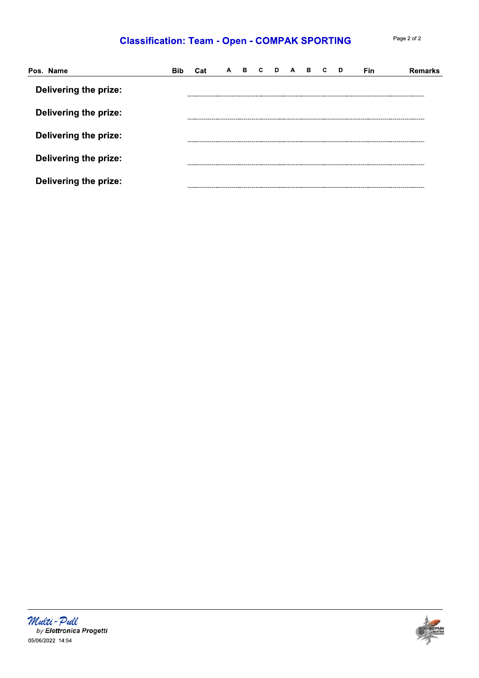## **Classification: Team - Open - COMPAK SPORTING**

| Page 2 of 2 |  |  |
|-------------|--|--|
|             |  |  |

| Pos. Name                    | Cat | $\mathsf{A}$ | в. | D. | $\mathbf{A}$ | В. | C | D | Fin | <b>Remarks</b> |
|------------------------------|-----|--------------|----|----|--------------|----|---|---|-----|----------------|
| Delivering the prize:        |     |              |    |    |              |    |   |   |     |                |
| Delivering the prize:        |     |              |    |    |              |    |   |   |     |                |
| <b>Delivering the prize:</b> |     |              |    |    |              |    |   |   |     |                |
| Delivering the prize:        |     |              |    |    |              |    |   |   |     |                |
| <b>Delivering the prize:</b> |     |              |    |    |              |    |   |   |     |                |



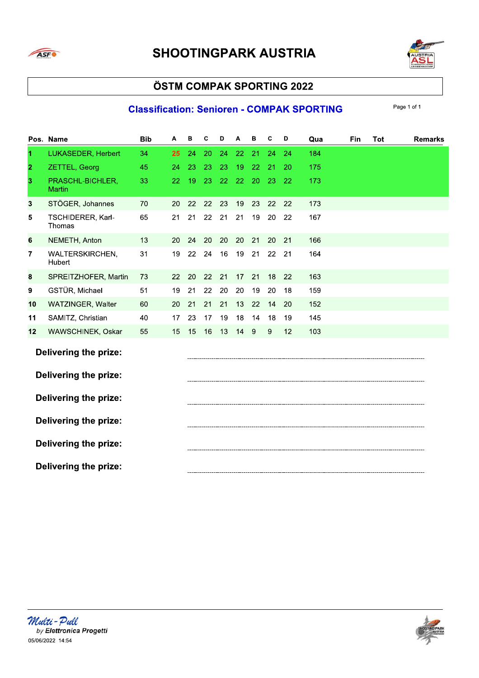



### **Classification: Senioren - COMPAK SPORTING**

|                | Pos. Name                         | <b>Bib</b> | А  | в  | C  | D  | Α  | в  | C  | D  | Qua | Fin | Tot | <b>Remarks</b> |
|----------------|-----------------------------------|------------|----|----|----|----|----|----|----|----|-----|-----|-----|----------------|
| 1              | LUKASEDER, Herbert                | 34         | 25 | 24 | 20 | 24 | 22 | 21 | 24 | 24 | 184 |     |     |                |
| $\overline{2}$ | ZETTEL, Georg                     | 45         | 24 | 23 | 23 | 23 | 19 | 22 | 21 | 20 | 175 |     |     |                |
| 3              | PRASCHL-BICHLER,<br><b>Martin</b> | 33         | 22 | 19 | 23 | 22 | 22 | 20 | 23 | 22 | 173 |     |     |                |
| 3              | STÖGER, Johannes                  | 70         | 20 | 22 | 22 | 23 | 19 | 23 | 22 | 22 | 173 |     |     |                |
| 5              | TSCHIDERER, Karl-<br>Thomas       | 65         | 21 | 21 | 22 | 21 | 21 | 19 | 20 | 22 | 167 |     |     |                |
| 6              | NEMETH, Anton                     | 13         | 20 | 24 | 20 | 20 | 20 | 21 | 20 | 21 | 166 |     |     |                |
| 7              | WALTERSKIRCHEN,<br>Hubert         | 31         | 19 | 22 | 24 | 16 | 19 | 21 | 22 | 21 | 164 |     |     |                |
| 8              | SPREITZHOFER, Martin              | 73         | 22 | 20 | 22 | 21 | 17 | 21 | 18 | 22 | 163 |     |     |                |
| 9              | GSTÜR, Michael                    | 51         | 19 | 21 | 22 | 20 | 20 | 19 | 20 | 18 | 159 |     |     |                |
| 10             | WATZINGER, Walter                 | 60         | 20 | 21 | 21 | 21 | 13 | 22 | 14 | 20 | 152 |     |     |                |
| 11             | SAMITZ, Christian                 | 40         | 17 | 23 | 17 | 19 | 18 | 14 | 18 | 19 | 145 |     |     |                |
| 12             | WAWSCHINEK, Oskar                 | 55         | 15 | 15 | 16 | 13 | 14 | 9  | 9  | 12 | 103 |     |     |                |
|                | <b>Delivering the prize:</b>      |            |    |    |    |    |    |    |    |    |     |     |     |                |
|                | Delivering the prize:             |            |    |    |    |    |    |    |    |    |     |     |     |                |
|                | Delivering the prize:             |            |    |    |    |    |    |    |    |    |     |     |     |                |
|                | <b>Delivering the prize:</b>      |            |    |    |    |    |    |    |    |    |     |     |     |                |
|                | Delivering the prize:             |            |    |    |    |    |    |    |    |    |     |     |     |                |
|                | <b>Delivering the prize:</b>      |            |    |    |    |    |    |    |    |    |     |     |     |                |

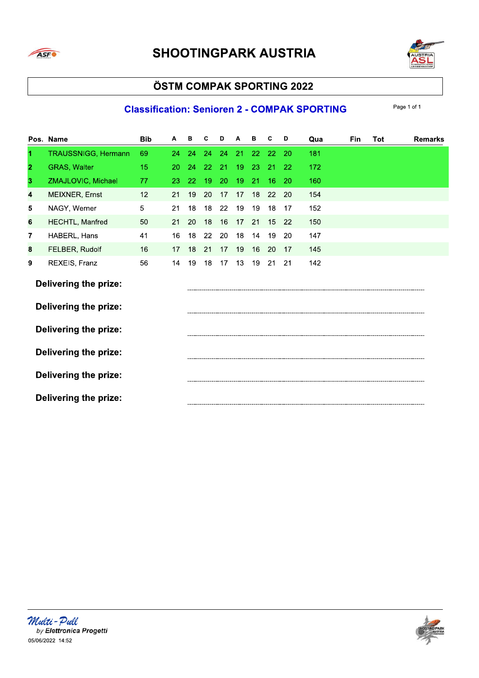

# **SHOOTINGPARK AUSTRIA**



### ÖSTM COMPAK SPORTING 2022

### **Classification: Senioren 2 - COMPAK SPORTING**

|                | Pos. Name                                             | <b>Bib</b> | Α  | в  | C  | D  | Α  | в  | С  | D  | Qua | Fin | Tot | <b>Remarks</b> |
|----------------|-------------------------------------------------------|------------|----|----|----|----|----|----|----|----|-----|-----|-----|----------------|
| 1.             | <b>TRAUSSNIGG, Hermann</b>                            | 69         | 24 | 24 | 24 | 24 | 21 | 22 | 22 | 20 | 181 |     |     |                |
| $\overline{2}$ | <b>GRAS, Walter</b>                                   | 15         | 20 | 24 | 22 | 21 | 19 | 23 | 21 | 22 | 172 |     |     |                |
| 3              | ZMAJLOVIC, Michael                                    | 77         | 23 | 22 | 19 | 20 | 19 | 21 | 16 | 20 | 160 |     |     |                |
| 4              | MEIXNER, Ernst                                        | 12         | 21 | 19 | 20 | 17 | 17 | 18 | 22 | 20 | 154 |     |     |                |
| 5              | NAGY, Werner                                          | 5          | 21 | 18 | 18 | 22 | 19 | 19 | 18 | 17 | 152 |     |     |                |
| 6              | <b>HECHTL, Manfred</b>                                | 50         | 21 | 20 | 18 | 16 | 17 | 21 | 15 | 22 | 150 |     |     |                |
| 7              | HABERL, Hans                                          | 41         | 16 | 18 | 22 | 20 | 18 | 14 | 19 | 20 | 147 |     |     |                |
| 8              | FELBER, Rudolf                                        | 16         | 17 | 18 | 21 | 17 | 19 | 16 | 20 | 17 | 145 |     |     |                |
| 9              | REXEIS, Franz                                         | 56         | 14 | 19 | 18 | 17 | 13 | 19 | 21 | 21 | 142 |     |     |                |
|                | <b>Delivering the prize:</b><br>Delivering the prize: |            |    |    |    |    |    |    |    |    |     |     |     |                |
|                | <b>Delivering the prize:</b>                          |            |    |    |    |    |    |    |    |    |     |     |     |                |
|                | <b>Delivering the prize:</b>                          |            |    |    |    |    |    |    |    |    |     |     |     |                |
|                | <b>Delivering the prize:</b>                          |            |    |    |    |    |    |    |    |    |     |     |     |                |
|                | <b>Delivering the prize:</b>                          |            |    |    |    |    |    |    |    |    |     |     |     |                |